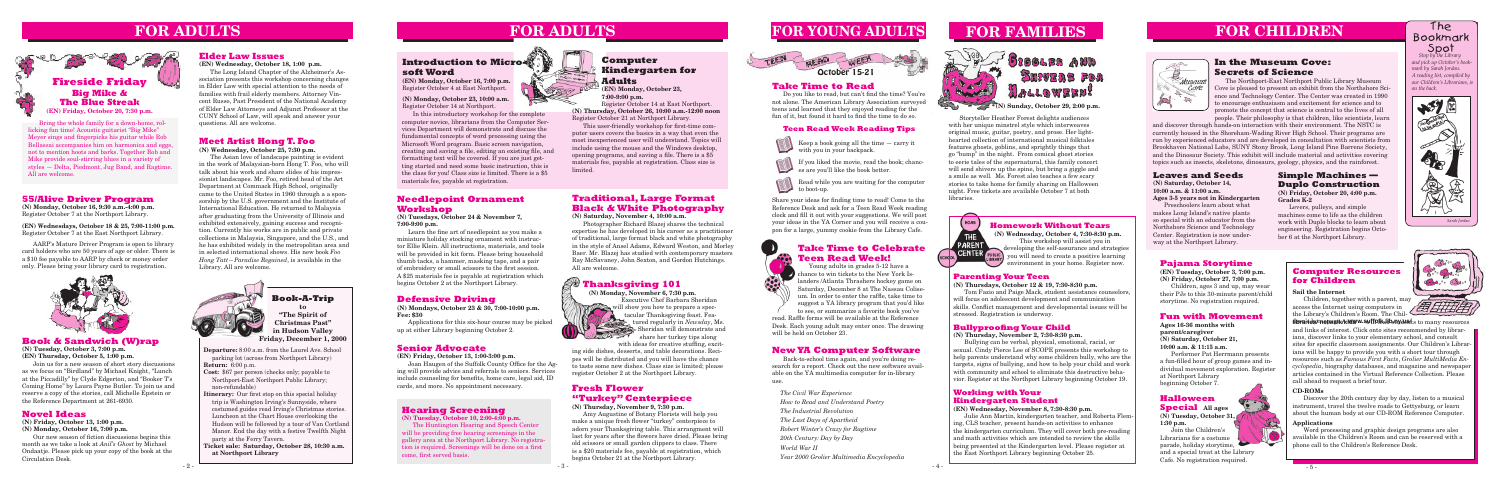

**Departure:** 8:00 a.m. from the Laurel Ave. School parking lot (across from Northport Library) **Return:** 6:00 p.m.

- **Cost:** \$67 per person (checks only; payable to Northport-East Northport Public Library; non-refundable)
- **Itinerary:** Our first stop on this special holiday trip is Washington Irving's Sunnyside, where costumed guides read Irving's Christmas stories. Luncheon at the Chart House overlooking the Hudson will be followed by a tour of Van Cortland Manor. End the day with a festive Twelfth Night party at the Ferry Tavern.
- **Ticket sale: Saturday, October 28, 10:30 a.m. at Northport Library**

# **FOR CHILDREN**



**Book-A-Trip to "The Spirit of Christmas Past"**

**in Hudson Valley Friday, December 1, 2000**



# **55/Alive Driver Program**

**(N) Monday, October 16, 9:30 a.m.-4:00 p.m.** Register October 7 at the Northport Library.

**(EN) Wednesdays, October 18 & 25, 7:00-11:00 p.m.** Register October 7 at the East Northport Library.

AARP's Mature Driver Program is open to library card holders who are 50 years of age or older. There is a \$10 fee payable to AARP by check or money order only. Please bring your library card to registration.



# **FOR ADULTS**



# **Elder Law Issues**

**(EN) Wednesday, October 18, 1:00 p.m.**

The Long Island Chapter of the Alzheimer's Association presents this workshop concerning changes in Elder Law with special attention to the needs of families with frail elderly members. Attorney Vincent Russo, Past President of the National Academy of Elder Law Attorneys and Adjunct Professor at the CUNY School of Law, will speak and answer your questions. All are welcome.

# **FOR ADULTS**

# **Defensive Driving**

**(N) Mondays, October 23 & 30, 7:00-10:00 p.m. Fee: \$30** 

Applications for this six-hour course may be picked up at either Library beginning October 2.

Bring the whole family for a down-home, rollicking fun time! Acoustic guitarist "Big Mike" Meyer sings and fingerpicks his guitar while Rob Bellassai accompanies him on harmonica and eggs, not to mention hoots and barks. Together Rob and Mike provide soul-stirring blues in a variety of styles — Delta, Piedmont, Jug Band, and Ragtime. All are welcome.

# **Parenting Your Teen**

**(N) Thursdays, October 12 & 19, 7:30-8:30 p.m.**

Tom Fazio and Paige Mack, student assistance counselors, will focus on adolescent development and communication skills. Conflict management and developmental issues will be stressed. Registration is underway.

**Homework Without Tears**

**(N) Wednesday, October 4, 7:30-8:30 p.m.** This workshop will assist you in developing the self-assurance and strategies you will need to create a positive learning environment in your home. Register now.

# **Meet Artist Hong T. Foo**

**(N) Wednesday, October 25, 7:30 p.m.** The Asian love of landscape painting is evident

- Keep a book going all the time carry it with you in your backpack.
- If you liked the movie, read the book; chances are you'll like the book better.

in the work of Malaysian-born Hong T. Foo, who will talk about his work and share slides of his impressionist landscapes. Mr. Foo, retired head of the Art Department at Commack High School, originally came to the United States in 1960 through a a sponsorship by the U.S. government and the Institute of International Education. He returned to Malaysia after graduating from the University of Illinois and exhibited extensively, gaining success and recognition. Currently his works are in public and private collections in Malaysia, Singapore, and the U.S., and he has exhibited widely in the metropolitan area and in selected international shows. His new book *Foo Hong Tatt—Paradise Regained*, is available in the Library. All are welcome.



# **Introduction to Micro soft Word**

# **Pajama Storytime**

**(EN) Tuesday, October 3, 7:00 p.m. (N) Friday, October 27, 7:00 p.m.**

Children, ages 3 and up, may wear their PJs to this 30-minute parent/child storytime. No registration required.

# **FOR YOUNG ADULTS**



# **Senior Advocate**

**(EN) Friday, October 13, 1:00-3:00 p.m.**

Joan Haugen of the Suffolk County Office for the Aging will provide advice and referrals to seniors. Services include counseling for benefits, home care, legal aid, ID cards, and more. No appointment necessary.

include using the mouse and the Windows desktop, This user-friendly workshop for first-time computer users covers the basics in a way that even the most inexperienced user will understand. Topics will opening programs, and saving a file. There is a \$5 materials fee, payable at registration. Class size is limited.

Storyteller Heather Forest delights audiences with her unique minstrel style which interweaves original music, guitar, poetry, and prose. Her lighthearted collection of international musical folktales features ghosts, goblins, and sprightly things that go "bump" in the night. From comical ghost stories to eerie tales of the supernatural, this family concert will send shivers up the spine, but bring a giggle and a smile as well. Ms. Forest also teaches a few scary stories to take home for family sharing on Halloween night. Free tickets are available October 7 at both libraries.

# HOME THE PARENT CENTER

# **Fresh Flower "Turkey" Centerpiece**

**(N) Thursday, November 9, 7:30 p.m.**

Amy Augustine of Botany Florists will help you make a unique fresh flower "turkey" centerpiece to adorn your Thanksgiving table. This arrangment will last for years after the flowers have dried. Please bring old scissors or small garden clippers to class. There is a \$20 materials fee, payable at registration, which begins October 21 at the Northport Library.

# **Bullyproofing Your Child**

**(N) Thursday, November 2, 7:30-8:30 p.m.**

Bullying can be verbal, physical, emotional, racial, or sexual. Cindy Pierce Lee of SCOPE presents this workshop to help parents understand why some children bully, who are the targets, signs of bullying, and how to help your child and work with community and school to eliminate this destructive behavior. Register at the Northport Library beginning October 19.

# **Working with Your Kindergarten Student**

## **(EN) Wednesday, November 8, 7:30-8:30 p.m.**

Julie Ann Martin, kindergarten teacher, and Roberta Fleming, CLS teacher, present hands-on activities to enhance the kindergarten curriculum. They will cover both pre-reading and math activities which are intended to review the skills being presented at the Kindergarten level. Please register at the East Northport Library beginning October 25.



# **Spot**<br>*Stop by the Library* The Bookmark

## **Teen Read Week Reading Tips**

Read while you are waiting for the computer to boot-up.

Share your ideas for finding time to read! Come to the Reference Desk and ask for a Teen Read Week reading clock and fill it out with your suggestions. We will post your ideas in the YA Corner and you will receive a coupon for a large, yummy cookie from the Library Cafe.

# **In the Museum Cove: Secrets of Science**

libraid s/mepagik/kidww.suff**olk.lib.nydents** to many resources and links of interest. Click onto sites recommended by librarians, discover links to your elementary school, and consult sites for specific classroom assignments. Our Children's Librarians will be happy to provide you with a short tour through resources such as *Famous First Facts*, *Grolier MultiMedia Encyclopedia*, biography databases, and magazine and newspaper articles contained in the Virtual Reference Collection. Please call ahead to request a brief tour.

# **Leaves and Seeds**

**(N) Saturday, October 14, 10:00 a.m. & 11:00 a.m. Ages 3-5 years not in Kindergarten**

Preschoolers learn about what makes Long Island's native plants so special with an educator from the Northshore Science and Technology Center. Registration is now underway at the Northport Library.

> Children, together with a parent, may<br>cess the Internet using computers in access the Internet using computers in the Library's Children's Room. The Chil-

## **Simple Machines — Duplo Construction (N) Friday, October 20, 4:00 p.m.**

**Grades K-2** Levers, pulleys, and simple



machines come to life as the children work with Duplo blocks to learn about engineering. Registration begins October 6 at the Northport Library.

**(EN) Monday, October 16, 7:00 p.m.** Register October 4 at East Northport.

**(N) Monday, October 23, 10:00 a.m.** Register October 14 at Northport.

In this introductory workshop for the complete computer novice, librarians from the Computer Services Department will demonstrate and discuss the fundamental concepts of word processing using the Microsoft Word program. Basic screen navigation, creating and saving a file, editing an existing file, and formatting text will be covered. If you are just getting started and need some basic instruction, this is the class for you! Class size is limited. There is a \$5 materials fee, payable at registration.

# **Computer Kindergarten for Adults**

**(EN) Monday, October 23, 7:00-9:00 p.m.**

Register October 14 at East Northport. **(N) Thursday, October 26, 10:00 a.m.-12:00 noon** Register October 21 at Northport Library.

# **Novel Ideas**

**(N) Friday, October 13, 1:00 p.m.**

**(N) Monday, October 16, 7:00 p.m.**

Our new season of fiction discussions begins this month as we take a look at *Anil's Ghost* by Michael Ondaatje. Please pick up your copy of the book at the Circulation Desk.

## **Book & Sandwich (W)rap**

**(N) Tuesday, October 3, 7:00 p.m. (EN) Thursday, October 5, 1:00 p.m.**

Join us for a new season of short story discussions as we focus on "Birdland" by Michael Knight, "Lunch at the Piccadilly" by Clyde Edgerton, and "Booker T's Coming Home" by Laura Payne Butler. To join us and reserve a copy of the stories, call Michelle Epstein or the Reference Department at 261-6930.

# **Traditional, Large Format Black & White Photography**

**(N) Saturday, November 4, 10:00 a.m.**

Photographer Richard Blazej shares the technical expertise he has developed in his career as a practitioner of traditional, large format black and white photography in the style of Ansel Adams, Edward Weston, and Morley Baer. Mr. Blazej has studied with contemporary masters Ray McSavaney, John Sexton, and Gordon Hutchings. All are welcome.

# **New YA Computer Software**

Back-to-school time again, and you're doing research for a report. Check out the new software available on the YA multimedia computer for in-library use.

*The Civil War Experience How to Read and Understand Poetry The Industrial Revolution The Last Days of Apartheid Robert Winter's Crazy for Ragtime 20th Century: Day by Day World War II Year 2000 Grolier Multimedia Encyclopedia*

# **Fun with Movement**

**Ages 16-36 months with parent/caregiver (N) Saturday, October 21, 10:00 a.m. & 11:15 a.m.** Performer Pat Herrmann presents a fun-filled hour of group games and individual movement exploration. Register at Northport Library beginning October 7.

# **FOR FAMILIES**



**(N) Sunday, October 29, 2:00 p.m.**

# **Take Time to Read**

Do you like to read, but can't find the time? You're not alone. The American Library Association surveyed teens and learned that they enjoyed reading for the fun of it, but found it hard to find the time to do so.

# **Thanksgiving 101**

**(N) Monday, November 6, 7:30 p.m.** Executive Chef Barbara Sheridan will show you how to prepare a spec-<br>tacular Thanksowing fasct. For tacular Thanksgiving feast. Featured regularly in *Newsday*, Ms. Sheridan will demonstrate and share her turkey tips along

with ideas for creative stuffing, exciting side dishes, desserts, and table decorations. Recipes will be distributed and you will have the chance to taste some new dishes. Class size is limited; please register October 2 at the Northport Library.

# **Needlepoint Ornament Workshop**

**(N) Tuesdays, October 24 & November 7, 7:00-9:00 p.m.**

Learn the fine art of needlepoint as you make a miniature holiday stocking ornament with instructor Ellie Klein. All instructions, materials, and tools will be provided in kit form. Please bring household thumb tacks, a hammer, masking tape, and a pair of embroidery or small scissors to the first session. A \$25 materials fee is payable at registration which begins October 2 at the Northport Library.

*and pick up October's bookmark by Sarah Jordan. A reading list, compiled by our Children's Librarians, is on the back.*



The Northport-East Northport Public Library Museum Cove is pleased to present an exhibit from the Northshore Science and Technology Center. The Center was created in 1990 to encourage enthusiasm and excitement for science and to promote the concept that science is central to the lives of all people. Their philosophy is that children, like scientists, learn

and discover through hands-on interaction with their environment. The NSTC is currently housed in the Shoreham-Wading River High School. Their programs are run by experienced educators and are developed in consultation with scientists from Brookhaven National Labs, SUNY Stony Brook, Long Island Pine Barrens Society, and the Dinosaur Society. This exhibit will include material and activities covering topics such as insects, skeletons, dinosaurs, geology, physics, and the rainforest.

# October 15-21

# **CD-ROMs**

Discover the 20th century day by day, listen to a musical instrument, travel the twelve roads to Gettysburg, or learn about the human body at our CD-ROM Reference Computer.

## **Applications**

Word processing and graphic design programs are also available in the Children's Room and can be reserved with a phone call to the Children's Reference Desk.



# **Computer Resources for Children**

## **Sail the Internet**

# **Hearing Screening**

**(N) Tuesday, October 10, 2:00-4:00 p.m.**

The Huntington Hearing and Speech Center will be providing free hearing screenings in the gallery area at the Northport Library. No registration is required. Screenings will be done on a first come, first served basis.

# **Take Time to Celebrate Teen Read Week!** Young adults in grades 5-12 have a

chance to win tickets to the New York Islanders /Atlanta Thrashers hockey game on Saturday, December 8 at The Nassau Coliseum. In order to enter the raffle, take time to suggest a YA library program that you'd like to see, or summarize a favorite book you've

# **Halloween**

# **Special All ages**

**(N) Tuesday, October 31, 1:30 p.m.**

Join the Children's Librarians for a costume parade, holiday storytime, and a special treat at the Library Cafe. No registration required.

read. Raffle forms will be available at the Reference Desk. Each young adult may enter once. The drawing will be held on October 23.